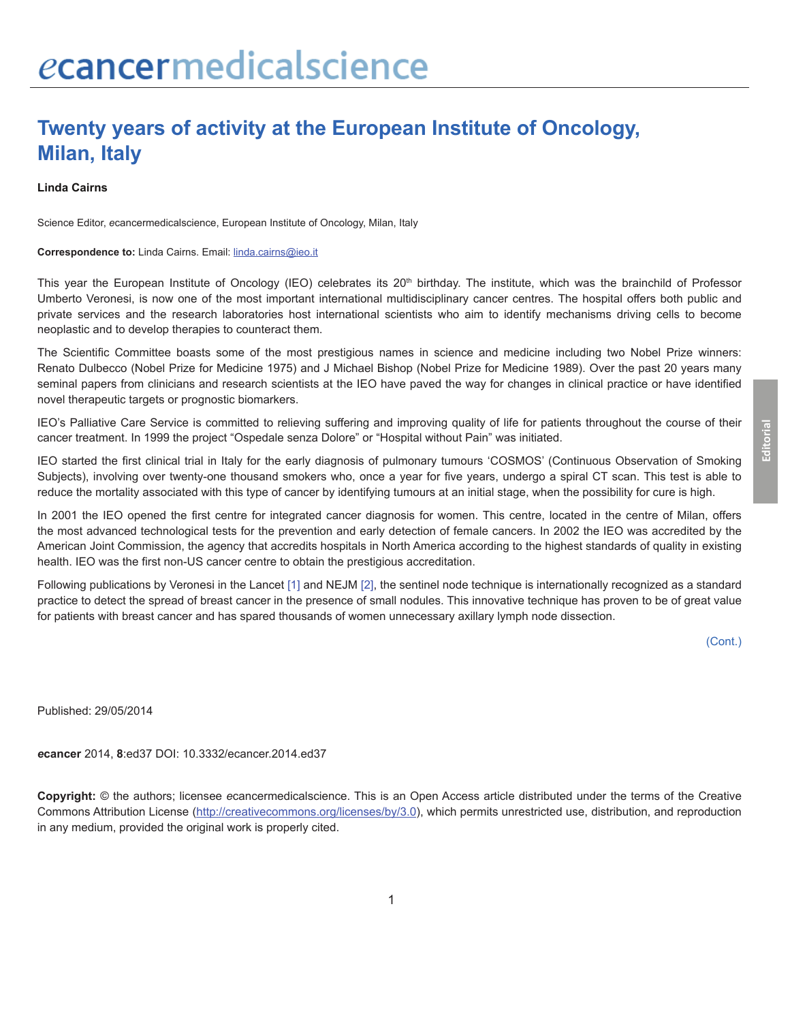## **Twenty years of activity at the European Institute of Oncology, Milan, Italy**

**Linda Cairns**

Science Editor, *e*cancermedicalscience, European Institute of Oncology, Milan, Italy

## **Correspondence to:** Linda Cairns. Email: linda.cairns@ieo.it

This year the European Institute of Oncology (IEO) celebrates its 20<sup>th</sup> birthday. The institute, which was the brainchild of Professor Umberto Veronesi, is now one of the most important international multidisciplinary cancer centres. The hospital offers both public and private services and the research laboratories host international scientists who aim to identify mechanisms driving cells to become neoplastic and to develop therapies to counteract them.

The Scientific Committee boasts some of the most prestigious names in science and medicine including two Nobel Prize winners: Renato Dulbecco (Nobel Prize for Medicine 1975) and J Michael Bishop (Nobel Prize for Medicine 1989). Over the past 20 years many seminal papers from clinicians and research scientists at the IEO have paved the way for changes in clinical practice or have identified novel therapeutic targets or prognostic biomarkers.

IEO's Palliative Care Service is committed to relieving suffering and improving quality of life for patients throughout the course of their cancer treatment. In 1999 the project "Ospedale senza Dolore" or "Hospital without Pain" was initiated.

IEO started the first clinical trial in Italy for the early diagnosis of pulmonary tumours 'COSMOS' (Continuous Observation of Smoking Subjects), involving over twenty-one thousand smokers who, once a year for five years, undergo a spiral CT scan. This test is able to reduce the mortality associated with this type of cancer by identifying tumours at an initial stage, when the possibility for cure is high.

In 2001 the IEO opened the first centre for integrated cancer diagnosis for women. This centre, located in the centre of Milan, offers the most advanced technological tests for the prevention and early detection of female cancers. In 2002 the IEO was accredited by the American Joint Commission, the agency that accredits hospitals in North America according to the highest standards of quality in existing health. IEO was the first non-US cancer centre to obtain the prestigious accreditation.

Following publications by Veronesi in the Lancet [\[1\]](#page-1-0) and NEJM [\[2\],](#page-1-0) the sentinel node technique is internationally recognized as a standard practice to detect the spread of breast cancer in the presence of small nodules. This innovative technique has proven to be of great value for patients with breast cancer and has spared thousands of women unnecessary axillary lymph node dissection.

Published: 29/05/2014

*e***cancer** 2014, **8**:ed37 DOI: 10.3332/ecancer.2014.ed37

**Copyright:** © the authors; licensee *e*cancermedicalscience. This is an Open Access article distributed under the terms of the Creative Commons Attribution License (http://creativecommons.org/licenses/by/3.0), which permits unrestricted use, distribution, and reproduction in any medium, provided the original work is properly cited.

**Editorial**